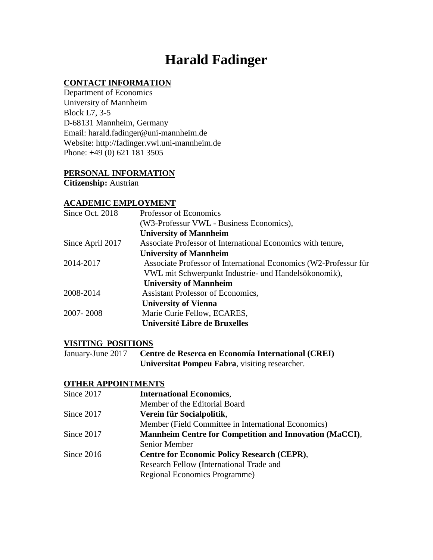# **Harald Fadinger**

# **CONTACT INFORMATION**

Department of Economics University of Mannheim Block L7, 3-5 D-68131 Mannheim, Germany Email: harald.fadinger@uni-mannheim.de Website: http://fadinger.vwl.uni-mannheim.de Phone: +49 (0) 621 181 3505

# **PERSONAL INFORMATION**

**Citizenship:** Austrian

# **ACADEMIC EMPLOYMENT**

| Since Oct. 2018  | Professor of Economics                                           |
|------------------|------------------------------------------------------------------|
|                  | (W3-Professur VWL - Business Economics),                         |
|                  | <b>University of Mannheim</b>                                    |
| Since April 2017 | Associate Professor of International Economics with tenure,      |
|                  | <b>University of Mannheim</b>                                    |
| 2014-2017        | Associate Professor of International Economics (W2-Professur für |
|                  | VWL mit Schwerpunkt Industrie- und Handelsökonomik),             |
|                  | <b>University of Mannheim</b>                                    |
| 2008-2014        | Assistant Professor of Economics,                                |
|                  | <b>University of Vienna</b>                                      |
| 2007-2008        | Marie Curie Fellow, ECARES,                                      |
|                  | Université Libre de Bruxelles                                    |

## **VISITING POSITIONS**

January-June 2017 **Centre de Reserca en Economía International (CREI)** – **Universitat Pompeu Fabra**, visiting researcher.

# **OTHER APPOINTMENTS**

| Since 2017   | <b>International Economics,</b>                                |
|--------------|----------------------------------------------------------------|
|              | Member of the Editorial Board                                  |
| Since 2017   | Verein für Socialpolitik,                                      |
|              | Member (Field Committee in International Economics)            |
| Since 2017   | <b>Mannheim Centre for Competition and Innovation (MaCCI),</b> |
|              | Senior Member                                                  |
| Since $2016$ | <b>Centre for Economic Policy Research (CEPR),</b>             |
|              | Research Fellow (International Trade and                       |
|              | Regional Economics Programme)                                  |
|              |                                                                |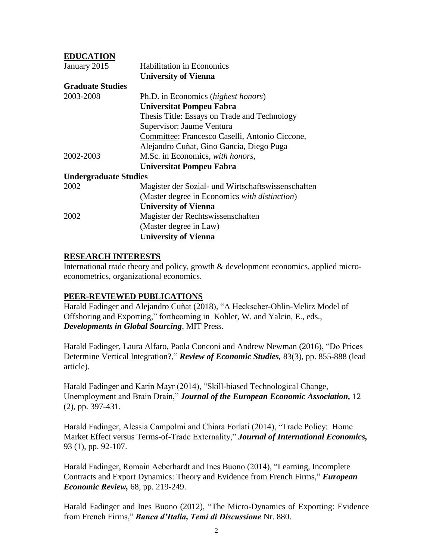# **EDUCATION**

| January 2015                 | <b>Habilitation in Economics</b>                   |
|------------------------------|----------------------------------------------------|
|                              | <b>University of Vienna</b>                        |
| <b>Graduate Studies</b>      |                                                    |
| 2003-2008                    | Ph.D. in Economics ( <i>highest honors</i> )       |
|                              | <b>Universitat Pompeu Fabra</b>                    |
|                              | Thesis Title: Essays on Trade and Technology       |
|                              | Supervisor: Jaume Ventura                          |
|                              | Committee: Francesco Caselli, Antonio Ciccone,     |
|                              | Alejandro Cuñat, Gino Gancia, Diego Puga           |
| 2002-2003                    | M.Sc. in Economics, with honors,                   |
|                              | Universitat Pompeu Fabra                           |
| <b>Undergraduate Studies</b> |                                                    |
| 2002                         | Magister der Sozial- und Wirtschaftswissenschaften |
|                              | (Master degree in Economics with distinction)      |
|                              | <b>University of Vienna</b>                        |
| 2002                         | Magister der Rechtswissenschaften                  |
|                              | (Master degree in Law)                             |
|                              | <b>University of Vienna</b>                        |

## **RESEARCH INTERESTS**

International trade theory and policy, growth & development economics, applied microeconometrics, organizational economics.

## **PEER-REVIEWED PUBLICATIONS**

Harald Fadinger and Alejandro Cuñat (2018), "A Heckscher-Ohlin-Melitz Model of Offshoring and Exporting," forthcoming in Kohler, W. and Yalcin, E., eds., *Developments in Global Sourcing*, MIT Press.

Harald Fadinger, Laura Alfaro, Paola Conconi and Andrew Newman (2016), "Do Prices Determine Vertical Integration?," *Review of Economic Studies,* 83(3), pp. 855-888 (lead article).

Harald Fadinger and Karin Mayr (2014), "Skill-biased Technological Change, Unemployment and Brain Drain," *Journal of the European Economic Association,* 12 (2), pp. 397-431.

Harald Fadinger, Alessia Campolmi and Chiara Forlati (2014), "Trade Policy: Home Market Effect versus Terms-of-Trade Externality," *Journal of International Economics,*  93 (1), pp. 92-107.

Harald Fadinger, Romain Aeberhardt and Ines Buono (2014), "Learning, Incomplete Contracts and Export Dynamics: Theory and Evidence from French Firms," *European Economic Review,* 68, pp. 219-249.

Harald Fadinger and Ines Buono (2012), "The Micro-Dynamics of Exporting: Evidence from French Firms," *Banca d'Italia, Temi di Discussione* Nr. 880.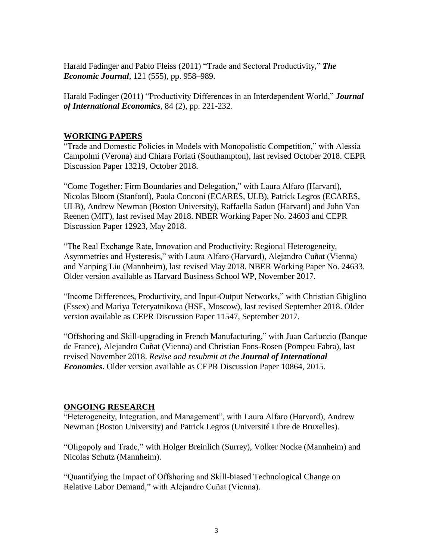Harald Fadinger and Pablo Fleiss (2011) "Trade and Sectoral Productivity," *The Economic Journal,* 121 (555), pp. 958–989.

Harald Fadinger (2011) "Productivity Differences in an Interdependent World," *Journal of International Economics,* 84 (2), pp. 221-232.

# **WORKING PAPERS**

"Trade and Domestic Policies in Models with Monopolistic Competition," with Alessia Campolmi (Verona) and Chiara Forlati (Southampton), last revised October 2018. CEPR Discussion Paper 13219, October 2018.

"Come Together: Firm Boundaries and Delegation," with Laura Alfaro (Harvard), Nicolas Bloom (Stanford), Paola Conconi (ECARES, ULB), Patrick Legros (ECARES, ULB), Andrew Newman (Boston University), Raffaella Sadun (Harvard) and John Van Reenen (MIT), last revised May 2018. NBER Working Paper No. 24603 and CEPR Discussion Paper 12923, May 2018.

"The Real Exchange Rate, Innovation and Productivity: Regional Heterogeneity, Asymmetries and Hysteresis," with Laura Alfaro (Harvard), Alejandro Cuñat (Vienna) and Yanping Liu (Mannheim), last revised May 2018. NBER Working Paper No. 24633. Older version available as Harvard Business School WP, November 2017.

"Income Differences, Productivity, and Input-Output Networks," with Christian Ghiglino (Essex) and Mariya Teteryatnikova (HSE, Moscow), last revised September 2018. Older version available as CEPR Discussion Paper 11547, September 2017.

"Offshoring and Skill-upgrading in French Manufacturing," with Juan Carluccio (Banque de France), Alejandro Cuñat (Vienna) and Christian Fons-Rosen (Pompeu Fabra), last revised November 2018. *Revise and resubmit at the Journal of International Economics***.** Older version available as CEPR Discussion Paper 10864, 2015.

# **ONGOING RESEARCH**

"Heterogeneity, Integration, and Management", with Laura Alfaro (Harvard), Andrew Newman (Boston University) and Patrick Legros (Université Libre de Bruxelles).

"Oligopoly and Trade," with Holger Breinlich (Surrey), Volker Nocke (Mannheim) and Nicolas Schutz (Mannheim).

"Quantifying the Impact of Offshoring and Skill-biased Technological Change on Relative Labor Demand," with Alejandro Cuñat (Vienna).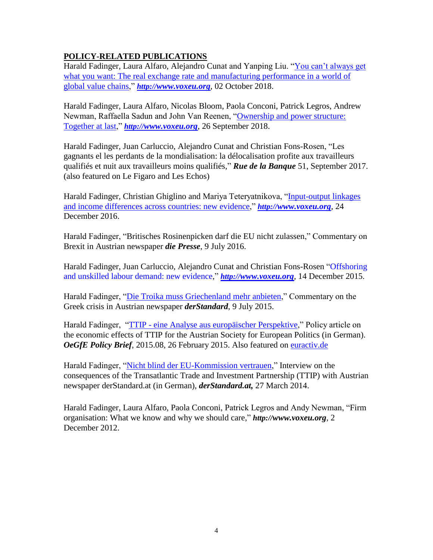# **POLICY-RELATED PUBLICATIONS**

Harald Fadinger, Laura Alfaro, Alejandro Cunat and Yanping Liu. "You can't always get what you want: The real exchange rate and manufacturing performance in a world of [global value chains,](https://voxeu.org/article/real-exchange-rate-global-value-chains-and-manufacturing-performance)" *http://[www.voxeu.org](http://www.voxeu.org/)*, 02 October 2018.

Harald Fadinger, Laura Alfaro, Nicolas Bloom, Paola Conconi, Patrick Legros, Andrew Newman, Raffaella Sadun and John Van Reenen, ["Ownership and power structure:](https://voxeu.org/article/ownership-and-power-structure-together-last)  [Together at last,](https://voxeu.org/article/ownership-and-power-structure-together-last)" *http://[www.voxeu.org](http://www.voxeu.org/)*, 26 September 2018.

Harald Fadinger, Juan Carluccio, Alejandro Cunat and Christian Fons-Rosen, "Les gagnants el les perdants de la mondialisation: la délocalisation profite aux travailleurs qualifiés et nuit aux travailleurs moins qualifiés," *Rue de la Banque* 51, September 2017. (also featured on Le Figaro and Les Echos)

Harald Fadinger, Christian Ghiglino and Mariya Teteryatnikova, ["Input-output linkages](http://voxeu.org/article/io-linkages-and-income-differences-across-countries)  [and income differences across countries: new evidence,](http://voxeu.org/article/io-linkages-and-income-differences-across-countries)" *http://[www.voxeu.org](http://www.voxeu.org/)*, 24 December 2016.

Harald Fadinger, "Britisches Rosinenpicken darf die EU nicht zulassen," Commentary on Brexit in Austrian newspaper *die Presse*, 9 July 2016.

Harald Fadinger, Juan Carluccio, Alejandro Cunat and Christian Fons-Rosen ["Offshoring](http://www.voxeu.org/article/offshoring-and-unskilled-labour-demand-new-evidence)  [and unskilled labour demand: new evidence,](http://www.voxeu.org/article/offshoring-and-unskilled-labour-demand-new-evidence)" *http://[www.voxeu.org](http://www.voxeu.org/)*, 14 December 2015.

Harald Fadinger, ["Die Troika muss Griechenland mehr anbieten,](http://derstandard.at/2000018864277/Die-Troika-muss-Griechenland-mehr-anbieten)" Commentary on the Greek crisis in Austrian newspaper *derStandard*, 9 July 2015.

Harald Fadinger, "TTIP - [eine Analyse aus europäischer Perspektive,](http://www.oegfe.at/cms/index.php?id=143&tx_ttnews%5bbackPid%5d=141&tx_ttnews%5btt_news%5d=836&cHash=22da17deb8)" Policy article on the economic effects of TTIP for the Austrian Society for European Politics (in German). *OeGfE Policy Brief*, 2015.08, 26 February 2015. Also featured on [euractiv.de](http://www.euractiv.de/sections/eu-aussenpolitik/analyse-ttip-kann-zu-steigenden-eu-standards-fuehren-312411)

Harald Fadinger, ["Nicht blind der EU-Kommission vertrauen,](http://derstandard.at/1395363102782/Oekonom-Fadinger-zum-Thema-TTIP)" Interview on the consequences of the Transatlantic Trade and Investment Partnership (TTIP) with Austrian newspaper derStandard.at (in German), *derStandard.at,* 27 March 2014.

Harald Fadinger, Laura Alfaro, Paola Conconi, Patrick Legros and Andy Newman, "Firm organisation: What we know and why we should care," *http://www.voxeu.org*, 2 December 2012.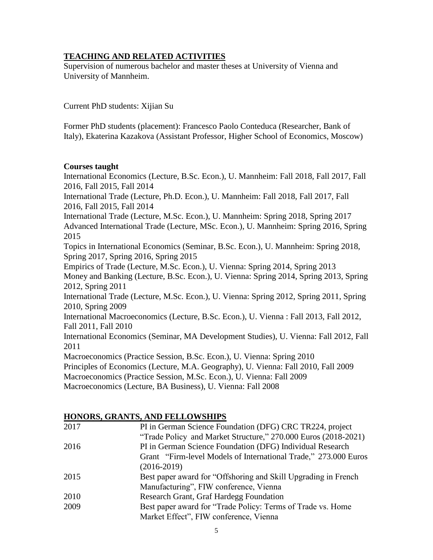# **TEACHING AND RELATED ACTIVITIES**

Supervision of numerous bachelor and master theses at University of Vienna and University of Mannheim.

Current PhD students: Xijian Su

Former PhD students (placement): Francesco Paolo Conteduca (Researcher, Bank of Italy), Ekaterina Kazakova (Assistant Professor, Higher School of Economics, Moscow)

## **Courses taught**

International Economics (Lecture, B.Sc. Econ.), U. Mannheim: Fall 2018, Fall 2017, Fall 2016, Fall 2015, Fall 2014 International Trade (Lecture, Ph.D. Econ.), U. Mannheim: Fall 2018, Fall 2017, Fall 2016, Fall 2015, Fall 2014 International Trade (Lecture, M.Sc. Econ.), U. Mannheim: Spring 2018, Spring 2017 Advanced International Trade (Lecture, MSc. Econ.), U. Mannheim: Spring 2016, Spring 2015 Topics in International Economics (Seminar, B.Sc. Econ.), U. Mannheim: Spring 2018, Spring 2017, Spring 2016, Spring 2015 Empirics of Trade (Lecture, M.Sc. Econ.), U. Vienna: Spring 2014, Spring 2013 Money and Banking (Lecture, B.Sc. Econ.), U. Vienna: Spring 2014, Spring 2013, Spring 2012, Spring 2011 International Trade (Lecture, M.Sc. Econ.), U. Vienna: Spring 2012, Spring 2011, Spring 2010, Spring 2009 International Macroeconomics (Lecture, B.Sc. Econ.), U. Vienna : Fall 2013, Fall 2012, Fall 2011, Fall 2010 International Economics (Seminar, MA Development Studies), U. Vienna: Fall 2012, Fall 2011 Macroeconomics (Practice Session, B.Sc. Econ.), U. Vienna: Spring 2010 Principles of Economics (Lecture, M.A. Geography), U. Vienna: Fall 2010, Fall 2009 Macroeconomics (Practice Session, M.Sc. Econ.), U. Vienna: Fall 2009

Macroeconomics (Lecture, BA Business), U. Vienna: Fall 2008

# **HONORS, GRANTS, AND FELLOWSHIPS**

| 2017 | PI in German Science Foundation (DFG) CRC TR224, project        |
|------|-----------------------------------------------------------------|
|      | "Trade Policy and Market Structure," 270.000 Euros (2018-2021)  |
| 2016 | PI in German Science Foundation (DFG) Individual Research       |
|      | Grant "Firm-level Models of International Trade," 273.000 Euros |
|      | $(2016-2019)$                                                   |
| 2015 | Best paper award for "Offshoring and Skill Upgrading in French" |
|      | Manufacturing", FIW conference, Vienna                          |
| 2010 | Research Grant, Graf Hardegg Foundation                         |
| 2009 | Best paper award for "Trade Policy: Terms of Trade vs. Home     |
|      | Market Effect", FIW conference, Vienna                          |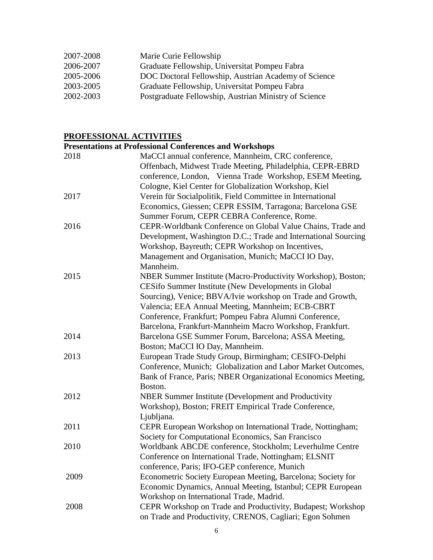| 2007-2008 | Marie Curie Fellowship                                |
|-----------|-------------------------------------------------------|
| 2006-2007 | Graduate Fellowship, Universitat Pompeu Fabra         |
| 2005-2006 | DOC Doctoral Fellowship, Austrian Academy of Science  |
| 2003-2005 | Graduate Fellowship, Universitat Pompeu Fabra         |
| 2002-2003 | Postgraduate Fellowship, Austrian Ministry of Science |

#### **PROFESSIONAL ACTIVITIES**

# **Presentations at Professional Conferences and Workshops** 2018 MaCCI annual conference, Mannheim, CRC conference, Offenbach, Midwest Trade Meeting, Philadelphia, CEPR-EBRD conference, London, Vienna Trade Workshop, ESEM Meeting, Cologne, Kiel Center for Globalization Workshop, Kiel 2017 Verein für Socialpolitik, Field Committee in International Economics, Giessen; CEPR ESSIM, Tarragona; Barcelona GSE Summer Forum, CEPR CEBRA Conference, Rome. 2016 CEPR-Worldbank Conference on Global Value Chains, Trade and Development, Washington D.C.; Trade and International Sourcing Workshop, Bayreuth; CEPR Workshop on Incentives, Management and Organisation, Munich; MaCCI IO Day, Mannheim. 2015 NBER Summer Institute (Macro-Productivity Workshop), Boston; CESifo Summer Institute (New Developments in Global Sourcing), Venice; BBVA/Ivie workshop on Trade and Growth, Valencia; EEA Annual Meeting, Mannheim; ECB-CBRT Conference, Frankfurt; Pompeu Fabra Alumni Conference, Barcelona, Frankfurt-Mannheim Macro Workshop, Frankfurt. 2014 Barcelona GSE Summer Forum, Barcelona; ASSA Meeting, Boston; MaCCI IO Day, Mannheim. 2013 European Trade Study Group, Birmingham; CESIFO-Delphi Conference, Munich; Globalization and Labor Market Outcomes, Bank of France, Paris; NBER Organizational Economics Meeting, Boston. 2012 NBER Summer Institute (Development and Productivity Workshop), Boston; FREIT Empirical Trade Conference, Ljubljana. 2011 CEPR European Workshop on International Trade, Nottingham; Society for Computational Economics, San Francisco 2010 Worldbank ABCDE conference, Stockholm; Leverhulme Centre Conference on International Trade, Nottingham; ELSNIT conference, Paris; IFO-GEP conference, Munich 2009 Econometric Society European Meeting, Barcelona; Society for Economic Dynamics, Annual Meeting, Istanbul; CEPR European Workshop on International Trade, Madrid. 2008 CEPR Workshop on Trade and Productivity, Budapest; Workshop on Trade and Productivity, CRENOS, Cagliari; Egon Sohmen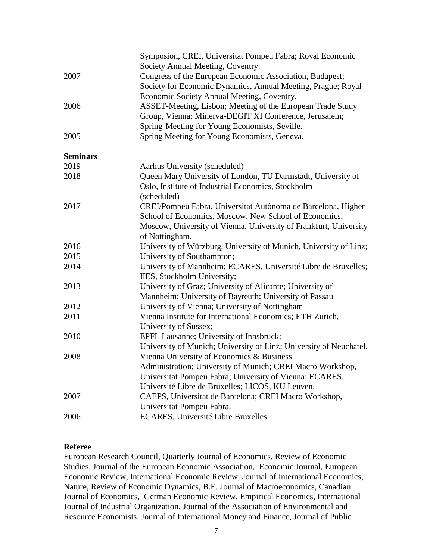|                 | Symposion, CREI, Universitat Pompeu Fabra; Royal Economic          |
|-----------------|--------------------------------------------------------------------|
|                 | Society Annual Meeting, Coventry.                                  |
| 2007            | Congress of the European Economic Association, Budapest;           |
|                 | Society for Economic Dynamics, Annual Meeting, Prague; Royal       |
|                 | Economic Society Annual Meeting, Coventry.                         |
| 2006            | ASSET-Meeting, Lisbon; Meeting of the European Trade Study         |
|                 | Group, Vienna; Minerva-DEGIT XI Conference, Jerusalem;             |
|                 | Spring Meeting for Young Economists, Seville.                      |
| 2005            | Spring Meeting for Young Economists, Geneva.                       |
| <b>Seminars</b> |                                                                    |
| 2019            | Aarhus University (scheduled)                                      |
| 2018            | Queen Mary University of London, TU Darmstadt, University of       |
|                 | Oslo, Institute of Industrial Economics, Stockholm                 |
|                 | (scheduled)                                                        |
| 2017            | CREI/Pompeu Fabra, Universitat Autònoma de Barcelona, Higher       |
|                 | School of Economics, Moscow, New School of Economics,              |
|                 | Moscow, University of Vienna, University of Frankfurt, University  |
|                 | of Nottingham.                                                     |
| 2016            | University of Würzburg, University of Munich, University of Linz;  |
| 2015            | University of Southampton;                                         |
| 2014            | University of Mannheim; ECARES, Université Libre de Bruxelles;     |
|                 | IIES, Stockholm University;                                        |
| 2013            | University of Graz; University of Alicante; University of          |
|                 | Mannheim; University of Bayreuth; University of Passau             |
| 2012            | University of Vienna; University of Nottingham                     |
| 2011            | Vienna Institute for International Economics; ETH Zurich,          |
|                 | University of Sussex;                                              |
| 2010            | EPFL Lausanne; University of Innsbruck;                            |
|                 | University of Munich; University of Linz; University of Neuchatel. |
| 2008            | Vienna University of Economics & Business                          |
|                 | Administration; University of Munich; CREI Macro Workshop,         |
|                 | Universitat Pompeu Fabra; University of Vienna; ECARES,            |
|                 | Université Libre de Bruxelles; LICOS, KU Leuven.                   |
| 2007            | CAEPS, Universitat de Barcelona; CREI Macro Workshop,              |
|                 | Universitat Pompeu Fabra.                                          |
| 2006            | ECARES, Université Libre Bruxelles.                                |

## **Referee**

European Research Council, Quarterly Journal of Economics, Review of Economic Studies, Journal of the European Economic Association, Economic Journal, European Economic Review, International Economic Review, Journal of International Economics, Nature, Review of Economic Dynamics, B.E. Journal of Macroeconomics, Canadian Journal of Economics, German Economic Review, Empirical Economics, International Journal of Industrial Organization, Journal of the Association of Environmental and Resource Economists, Journal of International Money and Finance, Journal of Public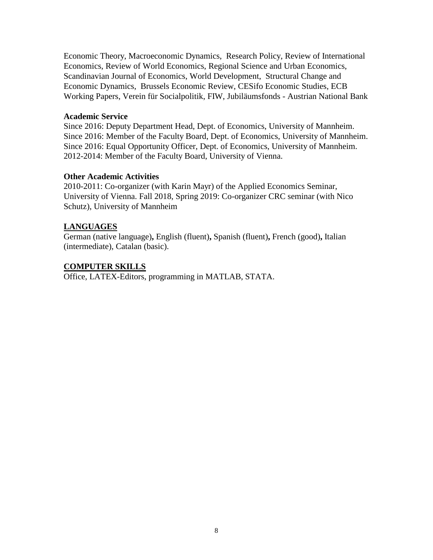Economic Theory, Macroeconomic Dynamics, Research Policy, Review of International Economics, Review of World Economics, Regional Science and Urban Economics, Scandinavian Journal of Economics, World Development, Structural Change and Economic Dynamics, Brussels Economic Review, CESifo Economic Studies, ECB Working Papers, Verein für Socialpolitik, FIW, Jubiläumsfonds - Austrian National Bank

#### **Academic Service**

Since 2016: Deputy Department Head, Dept. of Economics, University of Mannheim. Since 2016: Member of the Faculty Board, Dept. of Economics, University of Mannheim. Since 2016: Equal Opportunity Officer, Dept. of Economics, University of Mannheim. 2012-2014: Member of the Faculty Board, University of Vienna.

### **Other Academic Activities**

2010-2011: Co-organizer (with Karin Mayr) of the Applied Economics Seminar, University of Vienna. Fall 2018, Spring 2019: Co-organizer CRC seminar (with Nico Schutz), University of Mannheim

## **LANGUAGES**

German (native language)**,** English (fluent)**,** Spanish (fluent)**,** French (good)**,** Italian (intermediate), Catalan (basic).

## **COMPUTER SKILLS**

Office, LATEX-Editors, programming in MATLAB, STATA.